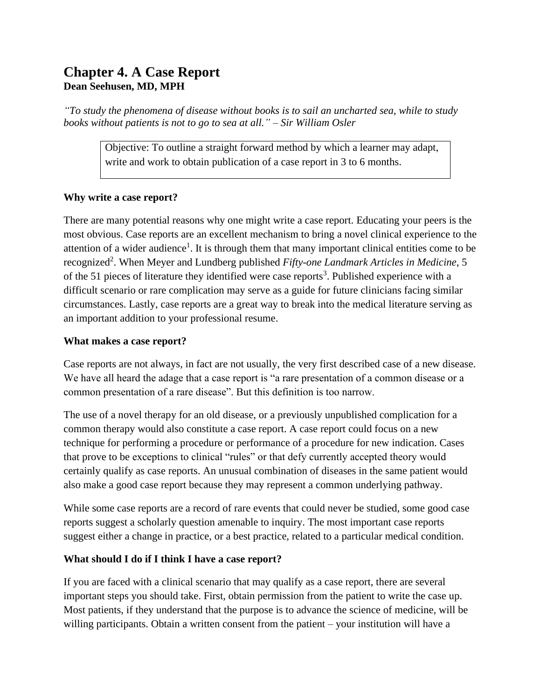# **Chapter 4. A Case Report Dean Seehusen, MD, MPH**

*"To study the phenomena of disease without books is to sail an uncharted sea, while to study books without patients is not to go to sea at all." – Sir William Osler*

> Objective: To outline a straight forward method by which a learner may adapt, write and work to obtain publication of a case report in 3 to 6 months.

## **Why write a case report?**

There are many potential reasons why one might write a case report. Educating your peers is the most obvious. Case reports are an excellent mechanism to bring a novel clinical experience to the attention of a wider audience<sup>1</sup>. It is through them that many important clinical entities come to be recognized<sup>2</sup>. When Meyer and Lundberg published *Fifty-one Landmark Articles in Medicine*, 5 of the 51 pieces of literature they identified were case reports<sup>3</sup>. Published experience with a difficult scenario or rare complication may serve as a guide for future clinicians facing similar circumstances. Lastly, case reports are a great way to break into the medical literature serving as an important addition to your professional resume.

#### **What makes a case report?**

Case reports are not always, in fact are not usually, the very first described case of a new disease. We have all heard the adage that a case report is "a rare presentation of a common disease or a common presentation of a rare disease". But this definition is too narrow.

The use of a novel therapy for an old disease, or a previously unpublished complication for a common therapy would also constitute a case report. A case report could focus on a new technique for performing a procedure or performance of a procedure for new indication. Cases that prove to be exceptions to clinical "rules" or that defy currently accepted theory would certainly qualify as case reports. An unusual combination of diseases in the same patient would also make a good case report because they may represent a common underlying pathway.

While some case reports are a record of rare events that could never be studied, some good case reports suggest a scholarly question amenable to inquiry. The most important case reports suggest either a change in practice, or a best practice, related to a particular medical condition.

## **What should I do if I think I have a case report?**

If you are faced with a clinical scenario that may qualify as a case report, there are several important steps you should take. First, obtain permission from the patient to write the case up. Most patients, if they understand that the purpose is to advance the science of medicine, will be willing participants. Obtain a written consent from the patient – your institution will have a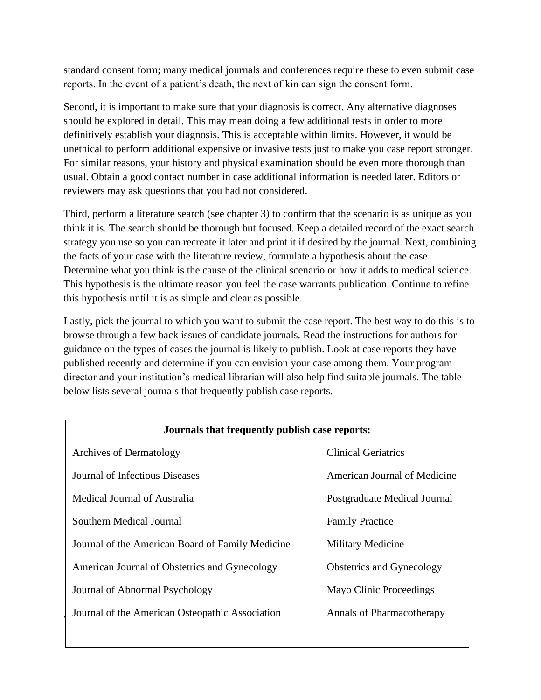standard consent form; many medical journals and conferences require these to even submit case reports. In the event of a patient's death, the next of kin can sign the consent form.

Second, it is important to make sure that your diagnosis is correct. Any alternative diagnoses should be explored in detail. This may mean doing a few additional tests in order to more definitively establish your diagnosis. This is acceptable within limits. However, it would be unethical to perform additional expensive or invasive tests just to make you case report stronger. For similar reasons, your history and physical examination should be even more thorough than usual. Obtain a good contact number in case additional information is needed later. Editors or reviewers may ask questions that you had not considered.

Third, perform a literature search (see chapter 3) to confirm that the scenario is as unique as you think it is. The search should be thorough but focused. Keep a detailed record of the exact search strategy you use so you can recreate it later and print it if desired by the journal. Next, combining the facts of your case with the literature review, formulate a hypothesis about the case. Determine what you think is the cause of the clinical scenario or how it adds to medical science. This hypothesis is the ultimate reason you feel the case warrants publication. Continue to refine this hypothesis until it is as simple and clear as possible.

Lastly, pick the journal to which you want to submit the case report. The best way to do this is to browse through a few back issues of candidate journals. Read the instructions for authors for guidance on the types of cases the journal is likely to publish. Look at case reports they have published recently and determine if you can envision your case among them. Your program director and your institution's medical librarian will also help find suitable journals. The table below lists several journals that frequently publish case reports.

| Journals that frequently publish case reports:   |                                  |  |
|--------------------------------------------------|----------------------------------|--|
| <b>Archives of Dermatology</b>                   | <b>Clinical Geriatrics</b>       |  |
| Journal of Infectious Diseases                   | American Journal of Medicine     |  |
| Medical Journal of Australia                     | Postgraduate Medical Journal     |  |
| Southern Medical Journal                         | <b>Family Practice</b>           |  |
| Journal of the American Board of Family Medicine | <b>Military Medicine</b>         |  |
| American Journal of Obstetrics and Gynecology    | <b>Obstetrics and Gynecology</b> |  |
| Journal of Abnormal Psychology                   | Mayo Clinic Proceedings          |  |
| Journal of the American Osteopathic Association  | Annals of Pharmacotherapy        |  |
|                                                  |                                  |  |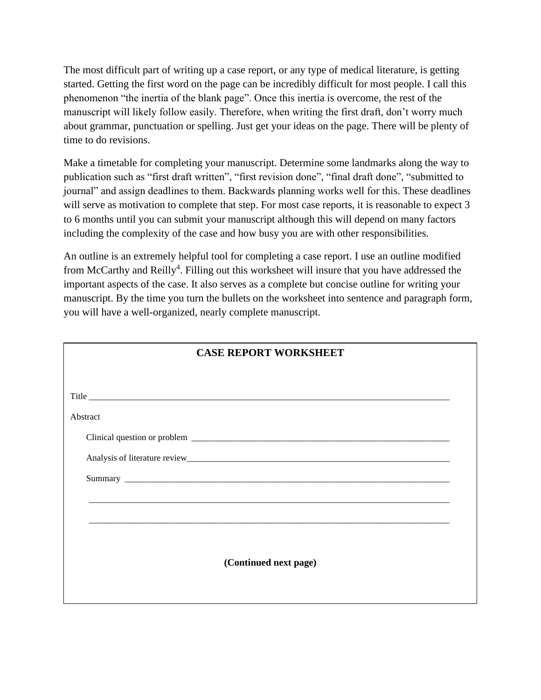The most difficult part of writing up a case report, or any type of medical literature, is getting started. Getting the first word on the page can be incredibly difficult for most people. I call this phenomenon "the inertia of the blank page". Once this inertia is overcome, the rest of the manuscript will likely follow easily. Therefore, when writing the first draft, don't worry much about grammar, punctuation or spelling. Just get your ideas on the page. There will be plenty of time to do revisions.

Make a timetable for completing your manuscript. Determine some landmarks along the way to publication such as "first draft written", "first revision done", "final draft done", "submitted to journal" and assign deadlines to them. Backwards planning works well for this. These deadlines will serve as motivation to complete that step. For most case reports, it is reasonable to expect 3 to 6 months until you can submit your manuscript although this will depend on many factors including the complexity of the case and how busy you are with other responsibilities.

An outline is an extremely helpful tool for completing a case report. I use an outline modified from McCarthy and Reilly<sup>4</sup>. Filling out this worksheet will insure that you have addressed the important aspects of the case. It also serves as a complete but concise outline for writing your manuscript. By the time you turn the bullets on the worksheet into sentence and paragraph form, you will have a well-organized, nearly complete manuscript.

| <b>CASE REPORT WORKSHEET</b> |  |
|------------------------------|--|
|                              |  |
|                              |  |
| Abstract                     |  |
|                              |  |
|                              |  |
|                              |  |
|                              |  |
|                              |  |
|                              |  |
| (Continued next page)        |  |
|                              |  |
|                              |  |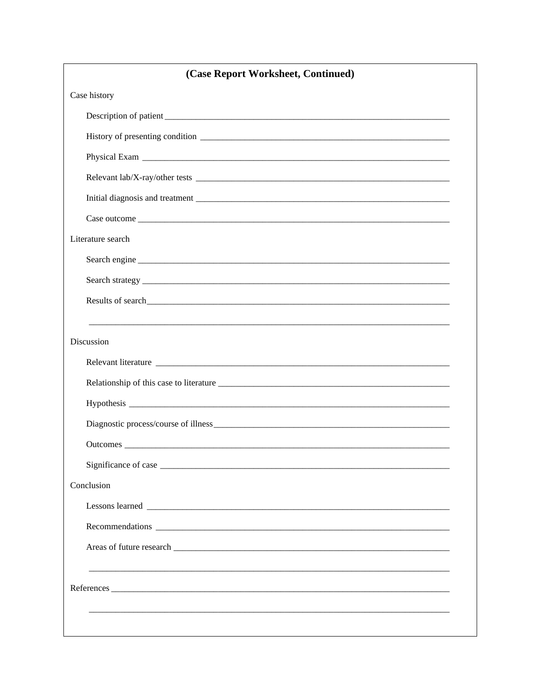| (Case Report Worksheet, Continued) |
|------------------------------------|
| Case history                       |
|                                    |
|                                    |
|                                    |
|                                    |
|                                    |
|                                    |
| Literature search                  |
|                                    |
|                                    |
|                                    |
|                                    |
| Discussion                         |
| Relevant literature                |
|                                    |
|                                    |
|                                    |
|                                    |
|                                    |
| Conclusion                         |
|                                    |
|                                    |
|                                    |
|                                    |
|                                    |
|                                    |
|                                    |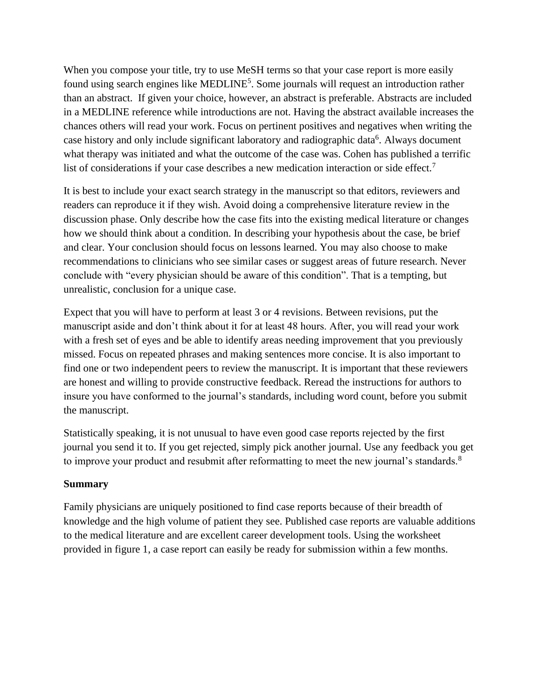When you compose your title, try to use MeSH terms so that your case report is more easily found using search engines like MEDLINE<sup>5</sup>. Some journals will request an introduction rather than an abstract. If given your choice, however, an abstract is preferable. Abstracts are included in a MEDLINE reference while introductions are not. Having the abstract available increases the chances others will read your work. Focus on pertinent positives and negatives when writing the case history and only include significant laboratory and radiographic data<sup>6</sup>. Always document what therapy was initiated and what the outcome of the case was. Cohen has published a terrific list of considerations if your case describes a new medication interaction or side effect.<sup>7</sup>

It is best to include your exact search strategy in the manuscript so that editors, reviewers and readers can reproduce it if they wish. Avoid doing a comprehensive literature review in the discussion phase. Only describe how the case fits into the existing medical literature or changes how we should think about a condition. In describing your hypothesis about the case, be brief and clear. Your conclusion should focus on lessons learned. You may also choose to make recommendations to clinicians who see similar cases or suggest areas of future research. Never conclude with "every physician should be aware of this condition". That is a tempting, but unrealistic, conclusion for a unique case.

Expect that you will have to perform at least 3 or 4 revisions. Between revisions, put the manuscript aside and don't think about it for at least 48 hours. After, you will read your work with a fresh set of eyes and be able to identify areas needing improvement that you previously missed. Focus on repeated phrases and making sentences more concise. It is also important to find one or two independent peers to review the manuscript. It is important that these reviewers are honest and willing to provide constructive feedback. Reread the instructions for authors to insure you have conformed to the journal's standards, including word count, before you submit the manuscript.

Statistically speaking, it is not unusual to have even good case reports rejected by the first journal you send it to. If you get rejected, simply pick another journal. Use any feedback you get to improve your product and resubmit after reformatting to meet the new journal's standards.<sup>8</sup>

## **Summary**

Family physicians are uniquely positioned to find case reports because of their breadth of knowledge and the high volume of patient they see. Published case reports are valuable additions to the medical literature and are excellent career development tools. Using the worksheet provided in figure 1, a case report can easily be ready for submission within a few months.